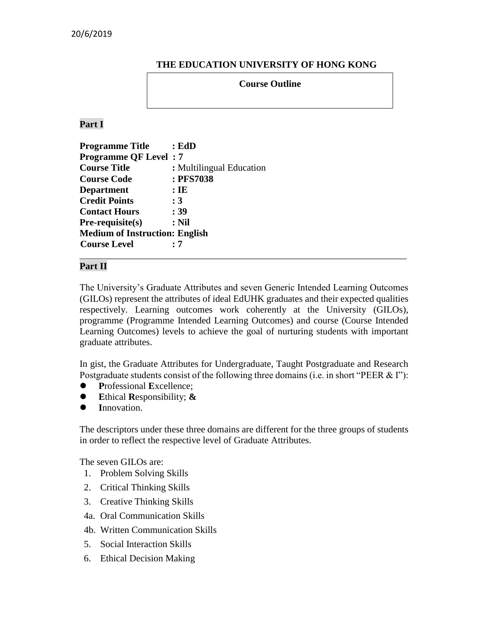#### **THE EDUCATION UNIVERSITY OF HONG KONG**

#### **Course Outline**

**Part I**

| <b>Programme Title</b>                | : EdD                    |
|---------------------------------------|--------------------------|
| <b>Programme QF Level: 7</b>          |                          |
| <b>Course Title</b>                   | : Multilingual Education |
| <b>Course Code</b>                    | : PFS7038                |
| <b>Department</b>                     | $:$ IE                   |
| <b>Credit Points</b>                  | :3                       |
| <b>Contact Hours</b>                  | : 39                     |
| Pre-requisite(s)                      | $:$ Nil                  |
| <b>Medium of Instruction: English</b> |                          |
| <b>Course Level</b>                   | . 7                      |

#### **Part II**

The University's Graduate Attributes and seven Generic Intended Learning Outcomes (GILOs) represent the attributes of ideal EdUHK graduates and their expected qualities respectively. Learning outcomes work coherently at the University (GILOs), programme (Programme Intended Learning Outcomes) and course (Course Intended Learning Outcomes) levels to achieve the goal of nurturing students with important graduate attributes.

\_\_\_\_\_\_\_\_\_\_\_\_\_\_\_\_\_\_\_\_\_\_\_\_\_\_\_\_\_\_\_\_\_\_\_\_\_\_\_\_\_\_\_\_\_\_\_\_\_\_\_\_\_\_\_\_\_\_\_\_\_\_\_\_\_\_\_\_\_

In gist, the Graduate Attributes for Undergraduate, Taught Postgraduate and Research Postgraduate students consist of the following three domains (i.e. in short "PEER & I"):

- **P**rofessional **E**xcellence;
- **E**thical **R**esponsibility; **&**
- **I**nnovation.

The descriptors under these three domains are different for the three groups of students in order to reflect the respective level of Graduate Attributes.

The seven GILOs are:

- 1. Problem Solving Skills
- 2. Critical Thinking Skills
- 3. Creative Thinking Skills
- 4a. Oral Communication Skills
- 4b. Written Communication Skills
- 5. Social Interaction Skills
- 6. Ethical Decision Making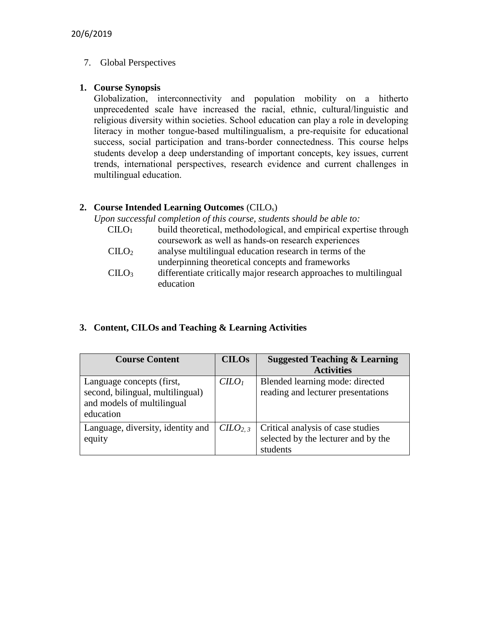## 7. Global Perspectives

## **1. Course Synopsis**

Globalization, interconnectivity and population mobility on a hitherto unprecedented scale have increased the racial, ethnic, cultural/linguistic and religious diversity within societies. School education can play a role in developing literacy in mother tongue-based multilingualism, a pre-requisite for educational success, social participation and trans-border connectedness. This course helps students develop a deep understanding of important concepts, key issues, current trends, international perspectives, research evidence and current challenges in multilingual education.

## **2. Course Intended Learning Outcomes** (CILOs)

*Upon successful completion of this course, students should be able to:*

| CLLO <sub>1</sub> | build theoretical, methodological, and empirical expertise through |
|-------------------|--------------------------------------------------------------------|
|                   | coursework as well as hands-on research experiences                |
| CILO <sub>2</sub> | analyse multilingual education research in terms of the            |
|                   | underpinning theoretical concepts and frameworks                   |
| CILO <sub>3</sub> | differentiate critically major research approaches to multilingual |
|                   | education                                                          |

# **3. Content, CILOs and Teaching & Learning Activities**

| <b>Course Content</b>                                                                                    | <b>CILOs</b>             | <b>Suggested Teaching &amp; Learning</b>                                             |  |
|----------------------------------------------------------------------------------------------------------|--------------------------|--------------------------------------------------------------------------------------|--|
|                                                                                                          |                          | <b>Activities</b>                                                                    |  |
| Language concepts (first,<br>second, bilingual, multilingual)<br>and models of multilingual<br>education | C <i>LO</i> <sub>1</sub> | Blended learning mode: directed<br>reading and lecturer presentations                |  |
| Language, diversity, identity and<br>equity                                                              | C <sub>2.3</sub>         | Critical analysis of case studies<br>selected by the lecturer and by the<br>students |  |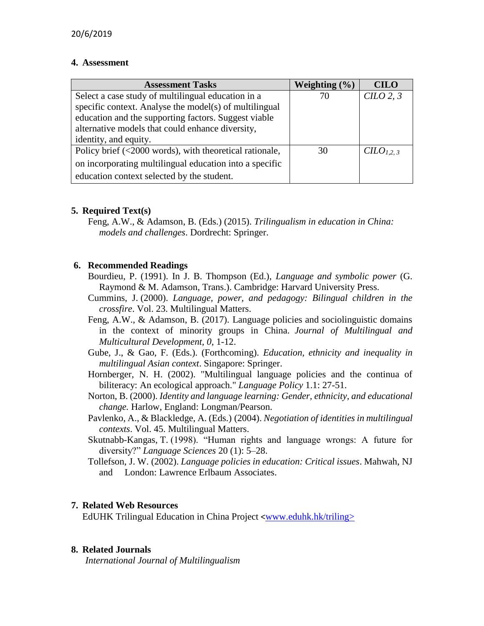#### **4. Assessment**

| <b>Assessment Tasks</b>                                 | Weighting $(\% )$ | <b>CILO</b>           |
|---------------------------------------------------------|-------------------|-----------------------|
| Select a case study of multilingual education in a      | 70                | C1LO <sub>2, 3</sub>  |
| specific context. Analyse the model(s) of multilingual  |                   |                       |
| education and the supporting factors. Suggest viable    |                   |                       |
| alternative models that could enhance diversity,        |                   |                       |
| identity, and equity.                                   |                   |                       |
| Policy brief (<2000 words), with theoretical rationale, | 30                | CILO <sub>1.2.3</sub> |
| on incorporating multilingual education into a specific |                   |                       |
| education context selected by the student.              |                   |                       |

### **5. Required Text(s)**

Feng, A.W., & Adamson, B. (Eds.) (2015). *Trilingualism in education in China: models and challenges*. Dordrecht: Springer.

### **6. Recommended Readings**

- Bourdieu, P. (1991). In J. B. Thompson (Ed.), *Language and symbolic power* (G. Raymond & M. Adamson, Trans.). Cambridge: Harvard University Press.
- Cummins, J. (2000). *Language, power, and pedagogy: Bilingual children in the crossfire*. Vol. 23. Multilingual Matters.
- Feng, A.W., & Adamson, B. (2017). Language policies and sociolinguistic domains in the context of minority groups in China. *Journal of Multilingual and Multicultural Development, 0*, 1-12.
- Gube, J., & Gao, F. (Eds.). (Forthcoming). *Education, ethnicity and inequality in multilingual Asian context*. Singapore: Springer.
- Hornberger, N. H. (2002). "Multilingual language policies and the continua of biliteracy: An ecological approach." *Language Policy* 1.1: 27-51.
- Norton, B. (2000). *Identity and language learning: Gender, ethnicity, and educational change.* Harlow, England: Longman/Pearson.
- Pavlenko, A., & Blackledge, A. (Eds.) (2004). *Negotiation of identities in multilingual contexts*. Vol. 45. Multilingual Matters.
- Skutnabb-Kangas, T. (1998). "Human rights and language wrongs: A future for diversity?" *Language Sciences* 20 (1): 5–28.
- Tollefson, J. W. (2002). *Language policies in education: Critical issues*. Mahwah, NJ and London: Lawrence Erlbaum Associates.

### **7. Related Web Resources**

EdUHK Trilingual Education in China Project <[www.eduhk.hk/triling>](http://www.eduhk.hk/triling)

### **8. Related Journals**

*International Journal of Multilingualism*